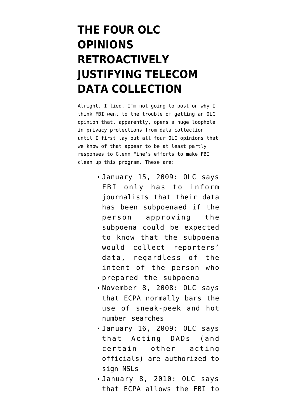## **[THE FOUR OLC](https://www.emptywheel.net/2010/02/17/the-four-olc-opinions-retroactively-justifying-telecom-data-collection/) [OPINIONS](https://www.emptywheel.net/2010/02/17/the-four-olc-opinions-retroactively-justifying-telecom-data-collection/) [RETROACTIVELY](https://www.emptywheel.net/2010/02/17/the-four-olc-opinions-retroactively-justifying-telecom-data-collection/) [JUSTIFYING TELECOM](https://www.emptywheel.net/2010/02/17/the-four-olc-opinions-retroactively-justifying-telecom-data-collection/) [DATA COLLECTION](https://www.emptywheel.net/2010/02/17/the-four-olc-opinions-retroactively-justifying-telecom-data-collection/)**

Alright. I [lied.](http://emptywheel.firedoglake.com/2010/02/16/why-did-fbi-need-the-exigent-letters-olc-memo-background-post/) I'm not going to post on why I think FBI went to the trouble of getting an OLC opinion that, apparently, opens a huge loophole in privacy protections from data collection until I first lay out all four OLC opinions that we know of that appear to be at least partly responses to Glenn Fine's efforts to make FBI clean up this program. These are:

- January 15, 2009: OLC says FBI only has to inform journalists that their data has been subpoenaed if the person approving the subpoena could be expected to know that the subpoena would collect reporters' data, regardless of the intent of the person who prepared the subpoena
- November 8, 2008: OLC says that ECPA normally bars the use of sneak-peek and hot number searches
- January 16, 2009: OLC says that Acting DADs (and certain other acting officials) are authorized to sign NSLs
- January 8, 2010: OLC says that ECPA allows the FBI to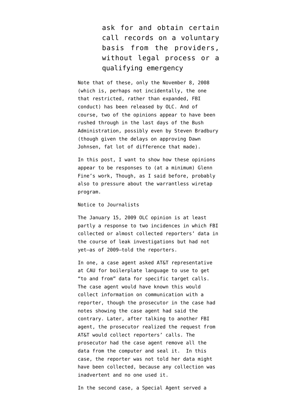ask for and obtain certain call records on a voluntary basis from the providers, without legal process or a qualifying emergency

Note that of these, only the November 8, 2008 (which is, perhaps not incidentally, the one that restricted, rather than expanded, FBI conduct) has been [released by OLC.](http://www.justice.gov/olc/opinionspage.htm) And of course, two of the opinions appear to have been rushed through in the last days of the Bush Administration, possibly even by Steven Bradbury (though given the delays on approving Dawn Johnsen, fat lot of difference that made).

In this post, I want to show how these opinions appear to be responses to (at a minimum) Glenn Fine's work, Though, [as I said before](http://emptywheel.firedoglake.com/2010/02/16/why-did-fbi-need-the-exigent-letters-olc-memo-background-post/), probably also to pressure about the warrantless wiretap program.

## Notice to Journalists

The January 15, 2009 OLC opinion is at least partly a response to two incidences in which FBI collected or almost collected reporters' data in the course of leak investigations but had not yet–as of 2009–told the reporters.

In one, a case agent asked AT&T representative at CAU for boilerplate language to use to get "to and from" data for specific target calls. The case agent would have known this would collect information on communication with a reporter, though the prosecutor in the case had notes showing the case agent had said the contrary. Later, after talking to another FBI agent, the prosecutor realized the request from AT&T would collect reporters' calls. The prosecutor had the case agent remove all the data from the computer and seal it. In this case, the reporter was not told her data might have been collected, because any collection was inadvertent and no one used it.

In the second case, a Special Agent served a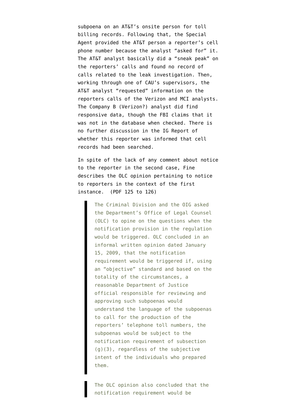subpoena on an AT&T's onsite person for toll billing records. Following that, the Special Agent provided the AT&T person a reporter's cell phone number because the analyst "asked for" it. The AT&T analyst basically did a "sneak peak" on the reporters' calls and found no record of calls related to the leak investigation. Then, working through one of CAU's supervisors, the AT&T analyst "requested" information on the reporters calls of the Verizon and MCI analysts. The Company B (Verizon?) analyst did find responsive data, though the FBI claims that it was not in the database when checked. There is no further discussion in the IG Report of whether this reporter was informed that cell records had been searched.

In spite of the lack of any comment about notice to the reporter in the second case, Fine describes the OLC opinion pertaining to notice to reporters in the context of the first instance. (PDF 125 to 126)

> The Criminal Division and the OIG asked the Department's Office of Legal Counsel (OLC) to opine on the questions when the notification provision in the regulation would be triggered. OLC concluded in an informal written opinion dated January 15, 2009, that the notification requirement would be triggered if, using an "objective" standard and based on the totality of the circumstances, a reasonable Department of Justice official responsible for reviewing and approving such subpoenas would understand the language of the subpoenas to call for the production of the reporters' telephone toll numbers, the subpoenas would be subject to the notification requirement of subsection (g)(3), regardless of the subjective intent of the individuals who prepared them.

The OLC opinion also concluded that the notification requirement would be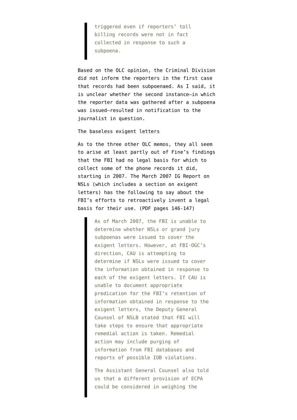triggered even if reporters' toll billing records were not in fact collected in response to such a subpoena.

Based on the OLC opinion, the Criminal Division did not inform the reporters in the first case that records had been subpoenaed. As I said, it is unclear whether the second instance–in which the reporter data was gathered after a subpoena was issued–resulted in notification to the journalist in question.

The baseless exigent letters

As to the three other OLC memos, they all seem to arise at least partly out of Fine's findings that the FBI had no legal basis for which to collect some of the phone records it did, starting in 2007. The [March 2007 IG Report on](http://www.justice.gov/oig/special/s0703b/final.pdf) [NSLs](http://www.justice.gov/oig/special/s0703b/final.pdf) (which includes a section on exigent letters) has the following to say about the FBI's efforts to retroactively invent a legal basis for their use. (PDF pages 146-147)

> As of March 2007, the FBI is unable to determine whether NSLs or grand jury subpoenas were issued to cover the exigent letters. However, at FBI-OGC's direction, CAU is attempting to determine if NSLs were issued to cover the information obtained in response to each of the exigent letters. If CAU is unable to document appropriate predication for the FBI's retention of information obtained in response to the exigent letters, the Deputy General Counsel of NSLB stated that FBI will take steps to ensure that appropriate remedial action is taken. Remedial action may include purging of information from FBI databases and reports of possible IOB violations.

> The Assistant General Counsel also told us that a different provision of ECPA could be considered in weighing the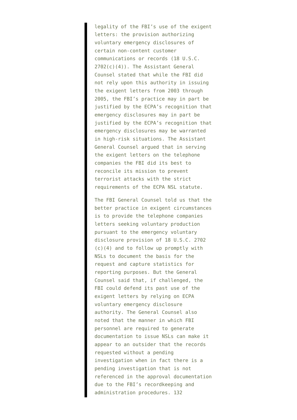legality of the FBI's use of the exigent letters: the provision authorizing voluntary emergency disclosures of certain non-content customer communications or records (18 U.S.C. 2702(c)(4)). The Assistant General Counsel stated that while the FBI did not rely upon this authority in issuing the exigent letters from 2003 through 2005, the FBI's practice may in part be justified by the ECPA's recognition that emergency disclosures may in part be justified by the ECPA's recognition that emergency disclosures may be warranted in high-risk situations. The Assistant General Counsel argued that in serving the exigent letters on the telephone companies the FBI did its best to reconcile its mission to prevent terrorist attacks with the strict requirements of the ECPA NSL statute.

The FBI General Counsel told us that the better practice in exigent circumstances is to provide the telephone companies letters seeking voluntary production pursuant to the emergency voluntary disclosure provision of 18 U.S.C. 2702 (c)(4) and to follow up promptly with NSLs to document the basis for the request and capture statistics for reporting purposes. But the General Counsel said that, if challenged, the FBI could defend its past use of the exigent letters by relying on ECPA voluntary emergency disclosure authority. The General Counsel also noted that the manner in which FBI personnel are required to generate documentation to issue NSLs can make it appear to an outsider that the records requested without a pending investigation when in fact there is a pending investigation that is not referenced in the approval documentation due to the FBI's recordkeeping and administration procedures. 132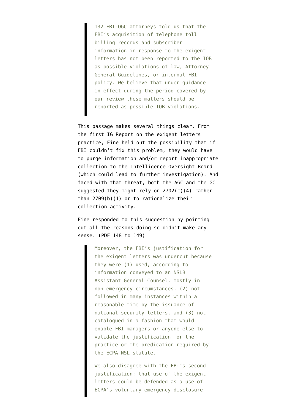132 FBI-OGC attorneys told us that the FBI's acquisition of telephone toll billing records and subscriber information in response to the exigent letters has not been reported to the IOB as possible violations of law, Attorney General Guidelines, or internal FBI policy. We believe that under guidance in effect during the period covered by our review these matters should be reported as possible IOB violations.

This passage makes several things clear. From the first IG Report on the exigent letters practice, Fine held out the possibility that if FBI couldn't fix this problem, they would have to purge information and/or report inappropriate collection to the Intelligence Oversight Board (which could lead to further investigation). And faced with that threat, both the AGC and the GC suggested they might rely on 2702(c)(4) rather than 2709(b)(1) or to rationalize their collection activity.

Fine responded to this suggestion by pointing out all the reasons doing so didn't make any sense. (PDF 148 to 149)

> Moreover, the FBI's justification for the exigent letters was undercut because they were (1) used, according to information conveyed to an NSLB Assistant General Counsel, mostly in non-emergency circumstances, (2) not followed in many instances within a reasonable time by the issuance of national security letters, and (3) not catalogued in a fashion that would enable FBI managers or anyone else to validate the justification for the practice or the predication required by the ECPA NSL statute.

We also disagree with the FBI's second justification: that use of the exigent letters could be defended as a use of ECPA's voluntary emergency disclosure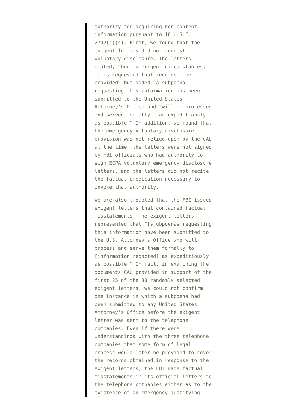authority for acquiring non-content information pursuant to 18 U.S.C.  $2702(c)(4)$ . First, we found that the exigent letters did not request voluntary disclosure. The letters stated, "Due to exigent circumstances, it is requested that records … be provided" but added "a subpoena requesting this information has been submitted to the United States Attorney's Office and "will be processed and served formally … as expeditiously as possible." In addition, we found that the emergency voluntary disclosure provision was not relied upon by the CAU at the time, the letters were not signed by FBI officials who had authority to sign ECPA voluntary emergency disclosure letters, and the letters did not recite the factual predication necessary to invoke that authority.

We are also troubled that the FBI issued exigent letters that contained factual misstatements. The exigent letters represented that "[s]ubpoenas requesting this information have been submitted to the U.S. Attorney's Office who will process and serve them formally to [information redacted] as expeditiously as possible." In fact, in examining the documents CAU provided in support of the first 25 of the 88 randomly selected exigent letters, we could not confirm one instance in which a subpoena had been submitted to any United States Attorney's Office before the exigent letter was sent to the telephone companies. Even if there were understandings with the three telephone companies that some form of legal process would later be provided to cover the records obtained in response to the exigent letters, the FBI made factual misstatements in its official letters to the telephone companies either as to the existence of an emergency justifying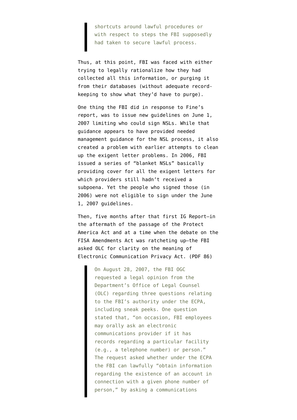shortcuts around lawful procedures or with respect to steps the FBI supposedly had taken to secure lawful process.

Thus, at this point, FBI was faced with either trying to legally rationalize how they had collected all this information, or purging it from their databases (without adequate recordkeeping to show what they'd have to purge).

One thing the FBI did in response to Fine's report, was to issue new guidelines on June 1, 2007 limiting who could sign NSLs. While that guidance appears to have provided needed management guidance for the NSL process, it also created a problem with earlier attempts to clean up the exigent letter problems. In 2006, FBI issued a series of "blanket NSLs" basically providing cover for all the exigent letters for which providers still hadn't received a subpoena. Yet the people who signed those (in 2006) were not eligible to sign under the June 1, 2007 guidelines.

Then, five months after that first IG Report–in the aftermath of the passage of the Protect America Act and at a time when the debate on the FISA Amendments Act was ratcheting up–the FBI [asked](http://www.justice.gov/oig/special/s1001r.pdf) OLC for clarity on the meaning of Electronic Communication Privacy Act. (PDF 86)

> On August 28, 2007, the FBI OGC requested a legal opinion from the Department's Office of Legal Counsel (OLC) regarding three questions relating to the FBI's authority under the ECPA, including sneak peeks. One question stated that, "on occasion, FBI employees may orally ask an electronic communications provider if it has records regarding a particular facility (e.g., a telephone number) or person." The request asked whether under the ECPA the FBI can lawfully "obtain information regarding the existence of an account in connection with a given phone number of person," by asking a communications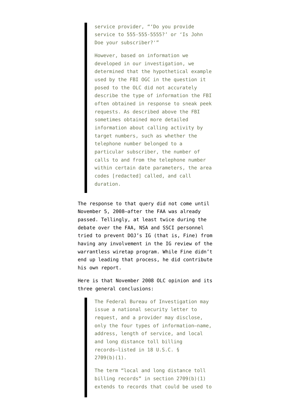service provider, "'Do you provide service to 555-555-5555?' or 'Is John Doe your subscriber?'"

However, based on information we developed in our investigation, we determined that the hypothetical example used by the FBI OGC in the question it posed to the OLC did not accurately describe the type of information the FBI often obtained in response to sneak peek requests. As described above the FBI sometimes obtained more detailed information about calling activity by target numbers, such as whether the telephone number belonged to a particular subscriber, the number of calls to and from the telephone number within certain date parameters, the area codes [redacted] called, and call duration.

The response to that query did not come until November 5, 2008–after the FAA was already passed. Tellingly, at least twice during the debate over the FAA, NSA and SSCI personnel tried to prevent DOJ's IG (that is, Fine) from having any involvement in the IG review of the warrantless wiretap program. While Fine didn't end up leading that process, he did contribute his own report.

Here is that [November 2008 OLC opinion](http://www.justice.gov/olc/2008/fbi-ecpa-opinion.pdf) and its three general conclusions:

> The Federal Bureau of Investigation may issue a national security letter to request, and a provider may disclose, only the four types of information—name, address, length of service, and local and long distance toll billing records—listed in 18 U.S.C. § 2709(b)(1).

> The term "local and long distance toll billing records" in section 2709(b)(1) extends to records that could be used to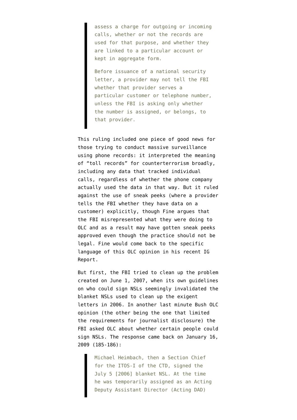assess a charge for outgoing or incoming calls, whether or not the records are used for that purpose, and whether they are linked to a particular account or kept in aggregate form.

Before issuance of a national security letter, a provider may not tell the FBI whether that provider serves a particular customer or telephone number, unless the FBI is asking only whether the number is assigned, or belongs, to that provider.

This ruling included one piece of good news for those trying to conduct massive surveillance using phone records: it interpreted the meaning of "toll records" for counterterrorism broadly, including any data that tracked individual calls, regardless of whether the phone company actually used the data in that way. But it ruled against the use of sneak peeks (where a provider tells the FBI whether they have data on a customer) explicitly, though Fine argues that the FBI misrepresented what they were doing to OLC and as a result may have gotten sneak peeks approved even though the practice should not be legal. Fine would come back to the specific language of this OLC opinion in his recent IG Report.

But first, the FBI tried to clean up the problem created on June 1, 2007, when its own guidelines on who could sign NSLs seemingly invalidated the blanket NSLs used to clean up the exigent letters in 2006. In another last minute Bush OLC opinion (the other being the one that limited the requirements for journalist disclosure) the FBI asked OLC about whether certain people could sign NSLs. The response came back on January 16, 2009 (185-186):

> Michael Heimbach, then a Section Chief for the ITOS-I of the CTD, signed the July 5 [2006] blanket NSL. At the time he was temporarily assigned as an Acting Deputy Assistant Director (Acting DAD)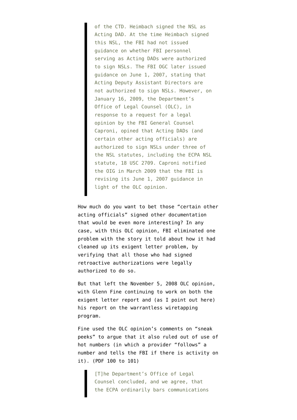of the CTD. Heimbach signed the NSL as Acting DAD. At the time Heimbach signed this NSL, the FBI had not issued guidance on whether FBI personnel serving as Acting DADs were authorized to sign NSLs. The FBI OGC later issued guidance on June 1, 2007, stating that Acting Deputy Assistant Directors are not authorized to sign NSLs. However, on January 16, 2009, the Department's Office of Legal Counsel (OLC), in response to a request for a legal opinion by the FBI General Counsel Caproni, opined that Acting DADs (and certain other acting officials) are authorized to sign NSLs under three of the NSL statutes, including the ECPA NSL statute, 18 USC 2709. Caproni notified the OIG in March 2009 that the FBI is revising its June 1, 2007 guidance in light of the OLC opinion.

How much do you want to bet those "certain other acting officials" signed other documentation that would be even more interesting? In any case, with this OLC opinion, FBI eliminated one problem with the story it told about how it had cleaned up its exigent letter problem, by verifying that all those who had signed retroactive authorizations were legally authorized to do so.

But that left the November 5, 2008 OLC opinion, with Glenn Fine continuing to work on both the exigent letter report and (as I [point out here\)](http://emptywheel.firedoglake.com/2010/02/16/why-did-fbi-need-the-exigent-letters-olc-memo-background-post/) his report on the warrantless wiretapping program.

Fine used the OLC opinion's comments on "sneak peeks" to argue that it also ruled out of use of hot numbers (in which a provider "follows" a number and tells the FBI if there is activity on it). (PDF 100 to 101)

> [T]he Department's Office of Legal Counsel concluded, and we agree, that the ECPA ordinarily bars communications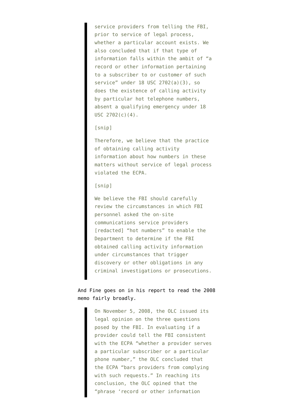service providers from telling the FBI, prior to service of legal process, whether a particular account exists. We also concluded that if that type of information falls within the ambit of "a record or other information pertaining to a subscriber to or customer of such service" under 18 USC 2702(a)(3), so does the existence of calling activity by particular hot telephone numbers, absent a qualifying emergency under 18 USC 2702(c)(4).

## [snip]

Therefore, we believe that the practice of obtaining calling activity information about how numbers in these matters without service of legal process violated the ECPA.

[snip]

We believe the FBI should carefully review the circumstances in which FBI personnel asked the on-site communications service providers [redacted] "hot numbers" to enable the Department to determine if the FBI obtained calling activity information under circumstances that trigger discovery or other obligations in any criminal investigations or prosecutions.

## And Fine goes on in his report to read the 2008 memo fairly broadly.

On November 5, 2008, the OLC issued its legal opinion on the three questions posed by the FBI. In evaluating if a provider could tell the FBI consistent with the ECPA "whether a provider serves a particular subscriber or a particular phone number," the OLC concluded that the ECPA "bars providers from complying with such requests." In reaching its conclusion, the OLC opined that the "phrase 'record or other information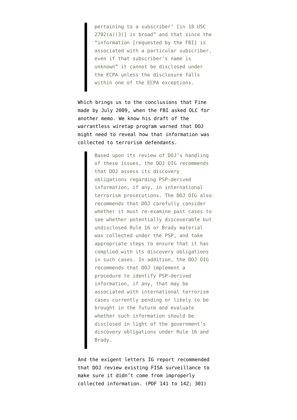pertaining to a subscriber' [in 18 USC  $2702(a)(3)$ ] is broad" and that since the "information [requested by the FBI] is associated with a particular subscriber, even if that subscriber's name is unknown" it cannot be disclosed under the ECPA unless the disclosure falls within one of the ECPA exceptions.

Which brings us to the conclusions that Fine made by July 2009, when the FBI asked OLC for another memo. We [know](http://www.justice.gov/oig/special/s0907.pdf) his draft of the warrantless wiretap program warned that DOJ might need to reveal how that information was collected to terrorism defendants.

> Based upon its review of DOJ's handling of these issues, the DOJ OIG recommends that DOJ assess its discovery obligations regarding PSP-derived information, if any, in international terrorism prosecutions. The DOJ OIG also recommends that DOJ carefully consider whether it must re-examine past cases to see whether potentially discoverable but undisclosed Rule 16 or Brady material was collected under the PSP, and take appropriate steps to ensure that it has complied with its discovery obligations in such cases. In addition, the DOJ OIG recommends that DOJ implement a procedure to identify PSP-derived information, if any, that may be associated with international terrorism cases currently pending or likely to be brought in the future and evaluate whether such information should be disclosed in light of the government's discovery obligations under Rule 16 and Brady.

And the exigent letters IG report recommended that DOJ review existing FISA surveillance to make sure it didn't come from improperly collected information. (PDF 141 to 142; 301)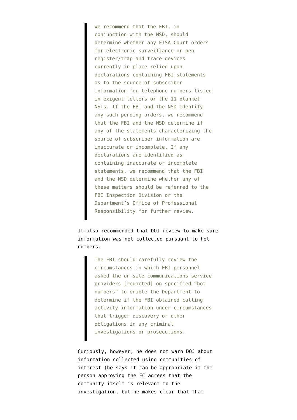We recommend that the FBI, in conjunction with the NSD, should determine whether any FISA Court orders for electronic surveillance or pen register/trap and trace devices currently in place relied upon declarations containing FBI statements as to the source of subscriber information for telephone numbers listed in exigent letters or the 11 blanket NSLs. If the FBI and the NSD identify any such pending orders, we recommend that the FBI and the NSD determine if any of the statements characterizing the source of subscriber information are inaccurate or incomplete. If any declarations are identified as containing inaccurate or incomplete statements, we recommend that the FBI and the NSD determine whether any of these matters should be referred to the FBI Inspection Division or the Department's Office of Professional Responsibility for further review.

It also recommended that DOJ review to make sure information was not collected pursuant to hot numbers.

> The FBI should carefully review the circumstances in which FBI personnel asked the on-site communications service providers [redacted] on specified "hot numbers" to enable the Department to determine if the FBI obtained calling activity information under circumstances that trigger discovery or other obligations in any criminal investigations or prosecutions.

Curiously, however, he does not warn DOJ about information collected using communities of interest (he says it can be appropriate if the person approving the EC agrees that the community itself is relevant to the investigation, but he makes clear that that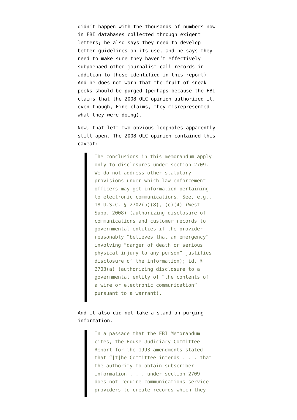didn't happen with the thousands of numbers now in FBI databases collected through exigent letters; he also says they need to develop better guidelines on its use, and he says they need to make sure they haven't effectively subpoenaed other journalist call records in addition to those identified in this report). And he does not warn that the fruit of sneak peeks should be purged (perhaps because the FBI claims that the 2008 OLC opinion authorized it, even though, Fine claims, they misrepresented what they were doing).

Now, that left two obvious loopholes apparently still open. The 2008 OLC opinion contained this caveat:

> The conclusions in this memorandum apply only to disclosures under section 2709. We do not address other statutory provisions under which law enforcement officers may get information pertaining to electronic communications. See, e.g., 18 U.S.C. § 2702(b)(8), (c)(4) (West Supp. 2008) (authorizing disclosure of communications and customer records to governmental entities if the provider reasonably "believes that an emergency" involving "danger of death or serious physical injury to any person" justifies disclosure of the information); id. § 2703(a) (authorizing disclosure to a governmental entity of "the contents of a wire or electronic communication" pursuant to a warrant).

And it also did not take a stand on purging information.

> In a passage that the FBI Memorandum cites, the House Judiciary Committee Report for the 1993 amendments stated that "[t]he Committee intends . . . that the authority to obtain subscriber information . . . under section 2709 does not require communications service providers to create records which they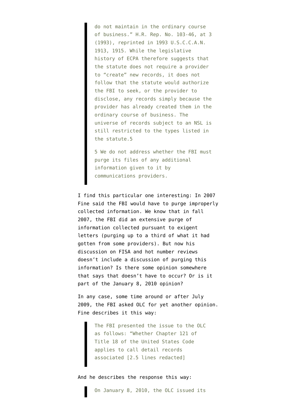do not maintain in the ordinary course of business." H.R. Rep. No. 103-46, at 3 (1993), reprinted in 1993 U.S.C.C.A.N. 1913, 1915. While the legislative history of ECPA therefore suggests that the statute does not require a provider to "create" new records, it does not follow that the statute would authorize the FBI to seek, or the provider to disclose, any records simply because the provider has already created them in the ordinary course of business. The universe of records subject to an NSL is still restricted to the types listed in the statute.5

5 We do not address whether the FBI must purge its files of any additional information given to it by communications providers.

I find this particular one interesting: In 2007 Fine said the FBI would have to purge improperly collected information. We know that in fall 2007, the FBI did an extensive purge of information collected pursuant to exigent letters (purging up to a third of what it had gotten from some providers). But now his discussion on FISA and hot number reviews doesn't include a discussion of purging this information? Is there some opinion somewhere that says that doesn't have to occur? Or is it part of the January 8, 2010 opinion?

In any case, some time around or after July 2009, the FBI asked OLC for yet another opinion. Fine describes it this way:

> The FBI presented the issue to the OLC as follows: "Whether Chapter 121 of Title 18 of the United States Code applies to call detail records associated [2.5 lines redacted]

And he describes the response this way:

On January 8, 2010, the OLC issued its